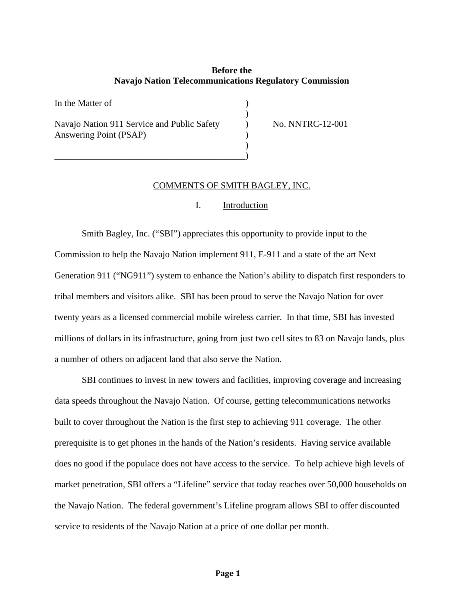## **Before the Navajo Nation Telecommunications Regulatory Commission**

In the Matter of  $)$ Navajo Nation 911 Service and Public Safety (No. NO. NNTRC-12-001) Answering Point (PSAP)  $)$ 

\_\_\_\_\_\_\_\_\_\_\_\_\_\_\_\_\_\_\_\_\_\_\_\_\_\_\_\_\_\_\_\_\_\_\_\_\_\_\_\_\_\_)

## COMMENTS OF SMITH BAGLEY, INC.

## I. Introduction

Smith Bagley, Inc. ("SBI") appreciates this opportunity to provide input to the Commission to help the Navajo Nation implement 911, E-911 and a state of the art Next Generation 911 ("NG911") system to enhance the Nation's ability to dispatch first responders to tribal members and visitors alike. SBI has been proud to serve the Navajo Nation for over twenty years as a licensed commercial mobile wireless carrier. In that time, SBI has invested millions of dollars in its infrastructure, going from just two cell sites to 83 on Navajo lands, plus a number of others on adjacent land that also serve the Nation.

SBI continues to invest in new towers and facilities, improving coverage and increasing data speeds throughout the Navajo Nation. Of course, getting telecommunications networks built to cover throughout the Nation is the first step to achieving 911 coverage. The other prerequisite is to get phones in the hands of the Nation's residents. Having service available does no good if the populace does not have access to the service. To help achieve high levels of market penetration, SBI offers a "Lifeline" service that today reaches over 50,000 households on the Navajo Nation. The federal government's Lifeline program allows SBI to offer discounted service to residents of the Navajo Nation at a price of one dollar per month.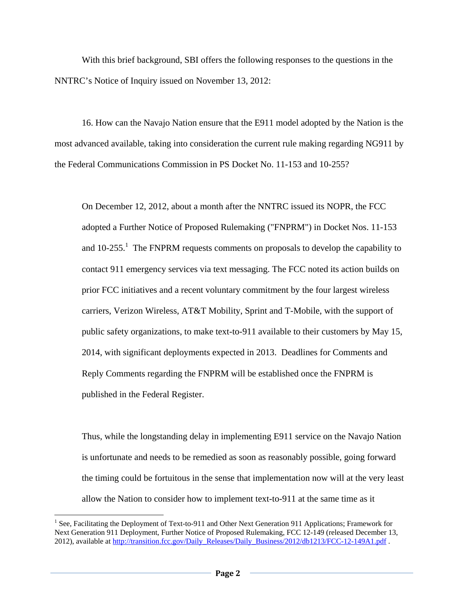With this brief background, SBI offers the following responses to the questions in the NNTRC's Notice of Inquiry issued on November 13, 2012:

 16. How can the Navajo Nation ensure that the E911 model adopted by the Nation is the most advanced available, taking into consideration the current rule making regarding NG911 by the Federal Communications Commission in PS Docket No. 11-153 and 10-255?

On December 12, 2012, about a month after the NNTRC issued its NOPR, the FCC adopted a Further Notice of Proposed Rulemaking ("FNPRM") in Docket Nos. 11-153 and  $10-255$ .<sup>1</sup> The FNPRM requests comments on proposals to develop the capability to contact 911 emergency services via text messaging. The FCC noted its action builds on prior FCC initiatives and a recent voluntary commitment by the four largest wireless carriers, Verizon Wireless, AT&T Mobility, Sprint and T-Mobile, with the support of public safety organizations, to make text-to-911 available to their customers by May 15, 2014, with significant deployments expected in 2013. Deadlines for Comments and Reply Comments regarding the FNPRM will be established once the FNPRM is published in the Federal Register.

Thus, while the longstanding delay in implementing E911 service on the Navajo Nation is unfortunate and needs to be remedied as soon as reasonably possible, going forward the timing could be fortuitous in the sense that implementation now will at the very least allow the Nation to consider how to implement text-to-911 at the same time as it

 $\overline{a}$ 

<sup>&</sup>lt;sup>1</sup> See, Facilitating the Deployment of Text-to-911 and Other Next Generation 911 Applications; Framework for Next Generation 911 Deployment, Further Notice of Proposed Rulemaking, FCC 12-149 (released December 13, 2012), available at http://transition.fcc.gov/Daily\_Releases/Daily\_Business/2012/db1213/FCC-12-149A1.pdf .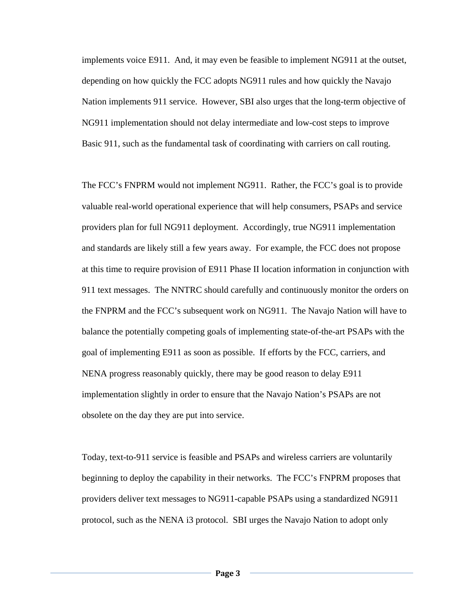implements voice E911. And, it may even be feasible to implement NG911 at the outset, depending on how quickly the FCC adopts NG911 rules and how quickly the Navajo Nation implements 911 service. However, SBI also urges that the long-term objective of NG911 implementation should not delay intermediate and low-cost steps to improve Basic 911, such as the fundamental task of coordinating with carriers on call routing.

The FCC's FNPRM would not implement NG911. Rather, the FCC's goal is to provide valuable real-world operational experience that will help consumers, PSAPs and service providers plan for full NG911 deployment. Accordingly, true NG911 implementation and standards are likely still a few years away. For example, the FCC does not propose at this time to require provision of E911 Phase II location information in conjunction with 911 text messages. The NNTRC should carefully and continuously monitor the orders on the FNPRM and the FCC's subsequent work on NG911. The Navajo Nation will have to balance the potentially competing goals of implementing state-of-the-art PSAPs with the goal of implementing E911 as soon as possible. If efforts by the FCC, carriers, and NENA progress reasonably quickly, there may be good reason to delay E911 implementation slightly in order to ensure that the Navajo Nation's PSAPs are not obsolete on the day they are put into service.

Today, text-to-911 service is feasible and PSAPs and wireless carriers are voluntarily beginning to deploy the capability in their networks. The FCC's FNPRM proposes that providers deliver text messages to NG911-capable PSAPs using a standardized NG911 protocol, such as the NENA i3 protocol. SBI urges the Navajo Nation to adopt only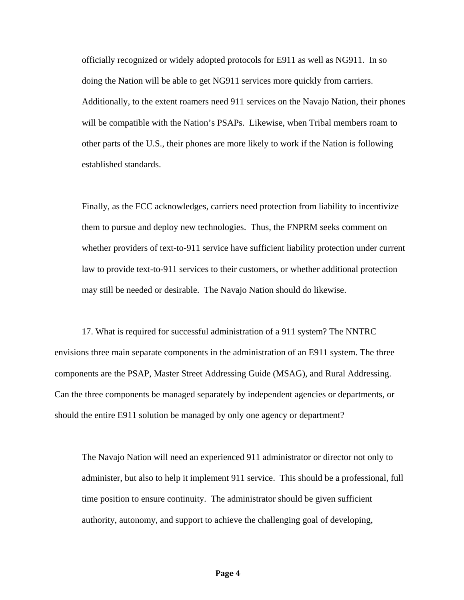officially recognized or widely adopted protocols for E911 as well as NG911. In so doing the Nation will be able to get NG911 services more quickly from carriers. Additionally, to the extent roamers need 911 services on the Navajo Nation, their phones will be compatible with the Nation's PSAPs. Likewise, when Tribal members roam to other parts of the U.S., their phones are more likely to work if the Nation is following established standards.

Finally, as the FCC acknowledges, carriers need protection from liability to incentivize them to pursue and deploy new technologies. Thus, the FNPRM seeks comment on whether providers of text-to-911 service have sufficient liability protection under current law to provide text-to-911 services to their customers, or whether additional protection may still be needed or desirable. The Navajo Nation should do likewise.

 17. What is required for successful administration of a 911 system? The NNTRC envisions three main separate components in the administration of an E911 system. The three components are the PSAP, Master Street Addressing Guide (MSAG), and Rural Addressing. Can the three components be managed separately by independent agencies or departments, or should the entire E911 solution be managed by only one agency or department?

The Navajo Nation will need an experienced 911 administrator or director not only to administer, but also to help it implement 911 service. This should be a professional, full time position to ensure continuity. The administrator should be given sufficient authority, autonomy, and support to achieve the challenging goal of developing,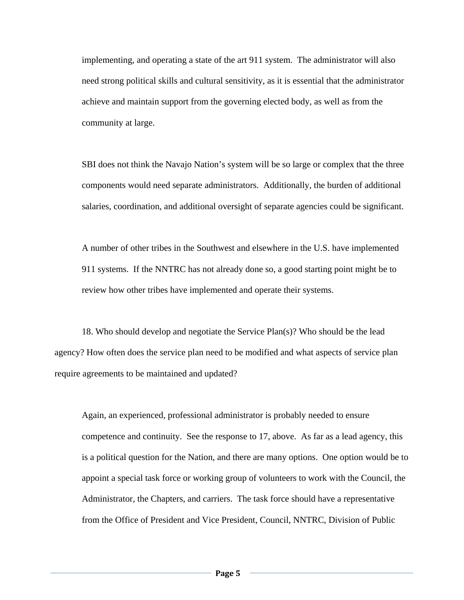implementing, and operating a state of the art 911 system. The administrator will also need strong political skills and cultural sensitivity, as it is essential that the administrator achieve and maintain support from the governing elected body, as well as from the community at large.

SBI does not think the Navajo Nation's system will be so large or complex that the three components would need separate administrators. Additionally, the burden of additional salaries, coordination, and additional oversight of separate agencies could be significant.

A number of other tribes in the Southwest and elsewhere in the U.S. have implemented 911 systems. If the NNTRC has not already done so, a good starting point might be to review how other tribes have implemented and operate their systems.

 18. Who should develop and negotiate the Service Plan(s)? Who should be the lead agency? How often does the service plan need to be modified and what aspects of service plan require agreements to be maintained and updated?

Again, an experienced, professional administrator is probably needed to ensure competence and continuity. See the response to 17, above. As far as a lead agency, this is a political question for the Nation, and there are many options. One option would be to appoint a special task force or working group of volunteers to work with the Council, the Administrator, the Chapters, and carriers. The task force should have a representative from the Office of President and Vice President, Council, NNTRC, Division of Public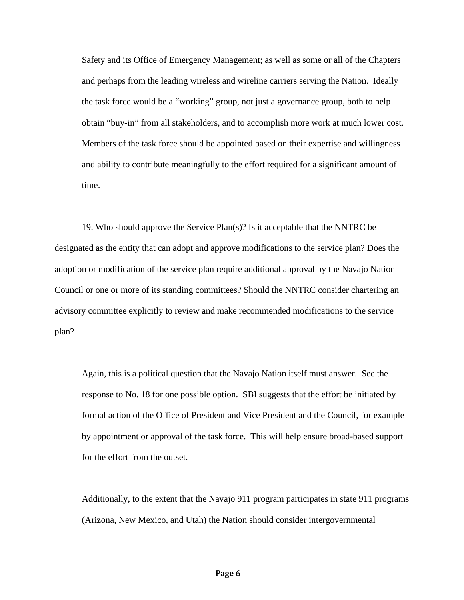Safety and its Office of Emergency Management; as well as some or all of the Chapters and perhaps from the leading wireless and wireline carriers serving the Nation. Ideally the task force would be a "working" group, not just a governance group, both to help obtain "buy-in" from all stakeholders, and to accomplish more work at much lower cost. Members of the task force should be appointed based on their expertise and willingness and ability to contribute meaningfully to the effort required for a significant amount of time.

 19. Who should approve the Service Plan(s)? Is it acceptable that the NNTRC be designated as the entity that can adopt and approve modifications to the service plan? Does the adoption or modification of the service plan require additional approval by the Navajo Nation Council or one or more of its standing committees? Should the NNTRC consider chartering an advisory committee explicitly to review and make recommended modifications to the service plan?

Again, this is a political question that the Navajo Nation itself must answer. See the response to No. 18 for one possible option. SBI suggests that the effort be initiated by formal action of the Office of President and Vice President and the Council, for example by appointment or approval of the task force. This will help ensure broad-based support for the effort from the outset.

Additionally, to the extent that the Navajo 911 program participates in state 911 programs (Arizona, New Mexico, and Utah) the Nation should consider intergovernmental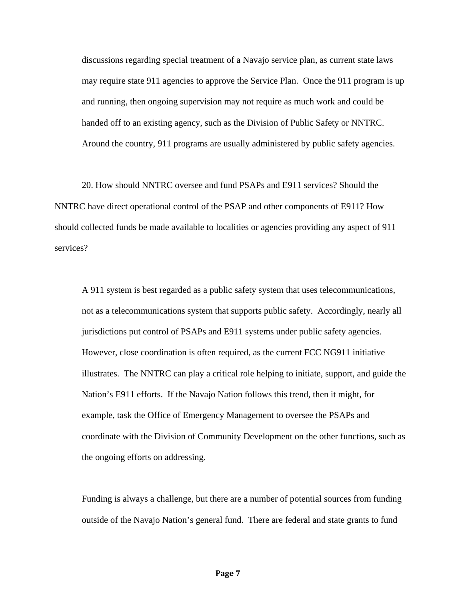discussions regarding special treatment of a Navajo service plan, as current state laws may require state 911 agencies to approve the Service Plan. Once the 911 program is up and running, then ongoing supervision may not require as much work and could be handed off to an existing agency, such as the Division of Public Safety or NNTRC. Around the country, 911 programs are usually administered by public safety agencies.

 20. How should NNTRC oversee and fund PSAPs and E911 services? Should the NNTRC have direct operational control of the PSAP and other components of E911? How should collected funds be made available to localities or agencies providing any aspect of 911 services?

A 911 system is best regarded as a public safety system that uses telecommunications, not as a telecommunications system that supports public safety. Accordingly, nearly all jurisdictions put control of PSAPs and E911 systems under public safety agencies. However, close coordination is often required, as the current FCC NG911 initiative illustrates. The NNTRC can play a critical role helping to initiate, support, and guide the Nation's E911 efforts. If the Navajo Nation follows this trend, then it might, for example, task the Office of Emergency Management to oversee the PSAPs and coordinate with the Division of Community Development on the other functions, such as the ongoing efforts on addressing.

Funding is always a challenge, but there are a number of potential sources from funding outside of the Navajo Nation's general fund. There are federal and state grants to fund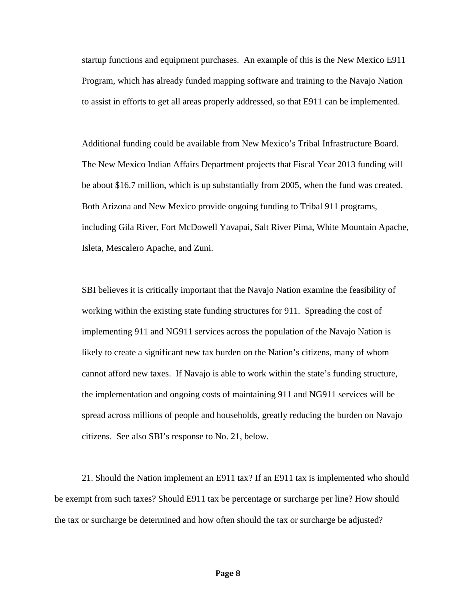startup functions and equipment purchases. An example of this is the New Mexico E911 Program, which has already funded mapping software and training to the Navajo Nation to assist in efforts to get all areas properly addressed, so that E911 can be implemented.

Additional funding could be available from New Mexico's Tribal Infrastructure Board. The New Mexico Indian Affairs Department projects that Fiscal Year 2013 funding will be about \$16.7 million, which is up substantially from 2005, when the fund was created. Both Arizona and New Mexico provide ongoing funding to Tribal 911 programs, including Gila River, Fort McDowell Yavapai, Salt River Pima, White Mountain Apache, Isleta, Mescalero Apache, and Zuni.

SBI believes it is critically important that the Navajo Nation examine the feasibility of working within the existing state funding structures for 911. Spreading the cost of implementing 911 and NG911 services across the population of the Navajo Nation is likely to create a significant new tax burden on the Nation's citizens, many of whom cannot afford new taxes. If Navajo is able to work within the state's funding structure, the implementation and ongoing costs of maintaining 911 and NG911 services will be spread across millions of people and households, greatly reducing the burden on Navajo citizens. See also SBI's response to No. 21, below.

 21. Should the Nation implement an E911 tax? If an E911 tax is implemented who should be exempt from such taxes? Should E911 tax be percentage or surcharge per line? How should the tax or surcharge be determined and how often should the tax or surcharge be adjusted?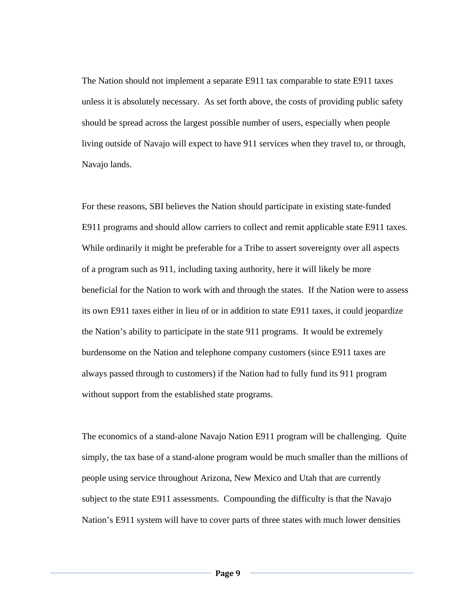The Nation should not implement a separate E911 tax comparable to state E911 taxes unless it is absolutely necessary. As set forth above, the costs of providing public safety should be spread across the largest possible number of users, especially when people living outside of Navajo will expect to have 911 services when they travel to, or through, Navajo lands.

For these reasons, SBI believes the Nation should participate in existing state-funded E911 programs and should allow carriers to collect and remit applicable state E911 taxes. While ordinarily it might be preferable for a Tribe to assert sovereignty over all aspects of a program such as 911, including taxing authority, here it will likely be more beneficial for the Nation to work with and through the states. If the Nation were to assess its own E911 taxes either in lieu of or in addition to state E911 taxes, it could jeopardize the Nation's ability to participate in the state 911 programs. It would be extremely burdensome on the Nation and telephone company customers (since E911 taxes are always passed through to customers) if the Nation had to fully fund its 911 program without support from the established state programs.

The economics of a stand-alone Navajo Nation E911 program will be challenging. Quite simply, the tax base of a stand-alone program would be much smaller than the millions of people using service throughout Arizona, New Mexico and Utah that are currently subject to the state E911 assessments. Compounding the difficulty is that the Navajo Nation's E911 system will have to cover parts of three states with much lower densities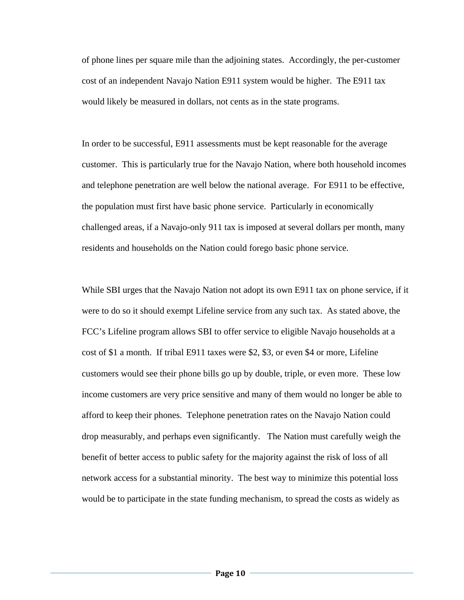of phone lines per square mile than the adjoining states. Accordingly, the per-customer cost of an independent Navajo Nation E911 system would be higher. The E911 tax would likely be measured in dollars, not cents as in the state programs.

In order to be successful, E911 assessments must be kept reasonable for the average customer. This is particularly true for the Navajo Nation, where both household incomes and telephone penetration are well below the national average. For E911 to be effective, the population must first have basic phone service. Particularly in economically challenged areas, if a Navajo-only 911 tax is imposed at several dollars per month, many residents and households on the Nation could forego basic phone service.

While SBI urges that the Navajo Nation not adopt its own E911 tax on phone service, if it were to do so it should exempt Lifeline service from any such tax. As stated above, the FCC's Lifeline program allows SBI to offer service to eligible Navajo households at a cost of \$1 a month. If tribal E911 taxes were \$2, \$3, or even \$4 or more, Lifeline customers would see their phone bills go up by double, triple, or even more. These low income customers are very price sensitive and many of them would no longer be able to afford to keep their phones. Telephone penetration rates on the Navajo Nation could drop measurably, and perhaps even significantly. The Nation must carefully weigh the benefit of better access to public safety for the majority against the risk of loss of all network access for a substantial minority. The best way to minimize this potential loss would be to participate in the state funding mechanism, to spread the costs as widely as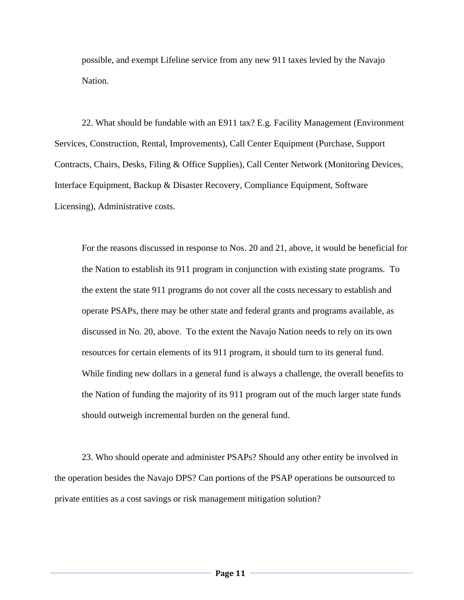possible, and exempt Lifeline service from any new 911 taxes levied by the Navajo Nation.

 22. What should be fundable with an E911 tax? E.g. Facility Management (Environment Services, Construction, Rental, Improvements), Call Center Equipment (Purchase, Support Contracts, Chairs, Desks, Filing & Office Supplies), Call Center Network (Monitoring Devices, Interface Equipment, Backup & Disaster Recovery, Compliance Equipment, Software Licensing), Administrative costs.

For the reasons discussed in response to Nos. 20 and 21, above, it would be beneficial for the Nation to establish its 911 program in conjunction with existing state programs. To the extent the state 911 programs do not cover all the costs necessary to establish and operate PSAPs, there may be other state and federal grants and programs available, as discussed in No. 20, above. To the extent the Navajo Nation needs to rely on its own resources for certain elements of its 911 program, it should turn to its general fund. While finding new dollars in a general fund is always a challenge, the overall benefits to the Nation of funding the majority of its 911 program out of the much larger state funds should outweigh incremental burden on the general fund.

 23. Who should operate and administer PSAPs? Should any other entity be involved in the operation besides the Navajo DPS? Can portions of the PSAP operations be outsourced to private entities as a cost savings or risk management mitigation solution?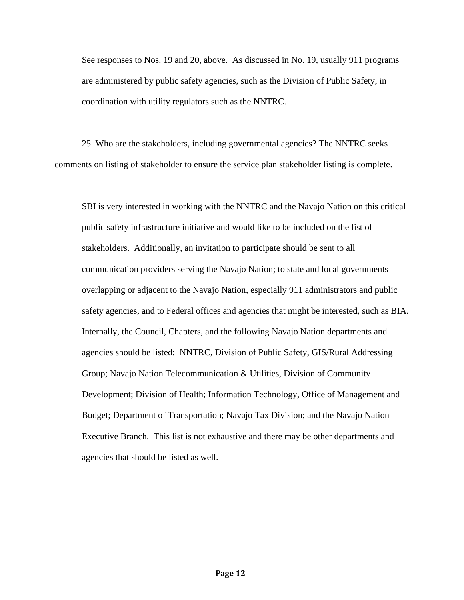See responses to Nos. 19 and 20, above. As discussed in No. 19, usually 911 programs are administered by public safety agencies, such as the Division of Public Safety, in coordination with utility regulators such as the NNTRC.

 25. Who are the stakeholders, including governmental agencies? The NNTRC seeks comments on listing of stakeholder to ensure the service plan stakeholder listing is complete.

SBI is very interested in working with the NNTRC and the Navajo Nation on this critical public safety infrastructure initiative and would like to be included on the list of stakeholders. Additionally, an invitation to participate should be sent to all communication providers serving the Navajo Nation; to state and local governments overlapping or adjacent to the Navajo Nation, especially 911 administrators and public safety agencies, and to Federal offices and agencies that might be interested, such as BIA. Internally, the Council, Chapters, and the following Navajo Nation departments and agencies should be listed: NNTRC, Division of Public Safety, GIS/Rural Addressing Group; Navajo Nation Telecommunication & Utilities, Division of Community Development; Division of Health; Information Technology, Office of Management and Budget; Department of Transportation; Navajo Tax Division; and the Navajo Nation Executive Branch. This list is not exhaustive and there may be other departments and agencies that should be listed as well.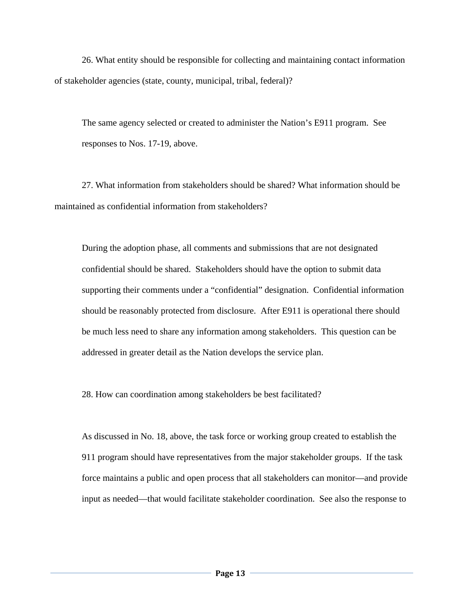26. What entity should be responsible for collecting and maintaining contact information of stakeholder agencies (state, county, municipal, tribal, federal)?

The same agency selected or created to administer the Nation's E911 program. See responses to Nos. 17-19, above.

 27. What information from stakeholders should be shared? What information should be maintained as confidential information from stakeholders?

During the adoption phase, all comments and submissions that are not designated confidential should be shared. Stakeholders should have the option to submit data supporting their comments under a "confidential" designation. Confidential information should be reasonably protected from disclosure. After E911 is operational there should be much less need to share any information among stakeholders. This question can be addressed in greater detail as the Nation develops the service plan.

28. How can coordination among stakeholders be best facilitated?

As discussed in No. 18, above, the task force or working group created to establish the 911 program should have representatives from the major stakeholder groups. If the task force maintains a public and open process that all stakeholders can monitor—and provide input as needed—that would facilitate stakeholder coordination. See also the response to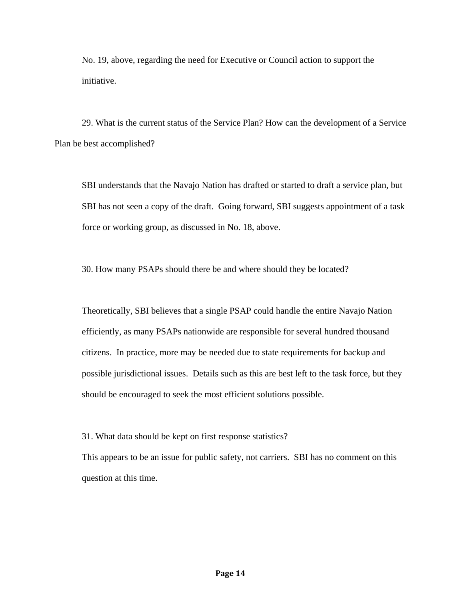No. 19, above, regarding the need for Executive or Council action to support the initiative.

 29. What is the current status of the Service Plan? How can the development of a Service Plan be best accomplished?

SBI understands that the Navajo Nation has drafted or started to draft a service plan, but SBI has not seen a copy of the draft. Going forward, SBI suggests appointment of a task force or working group, as discussed in No. 18, above.

30. How many PSAPs should there be and where should they be located?

Theoretically, SBI believes that a single PSAP could handle the entire Navajo Nation efficiently, as many PSAPs nationwide are responsible for several hundred thousand citizens. In practice, more may be needed due to state requirements for backup and possible jurisdictional issues. Details such as this are best left to the task force, but they should be encouraged to seek the most efficient solutions possible.

31. What data should be kept on first response statistics?

This appears to be an issue for public safety, not carriers. SBI has no comment on this question at this time.